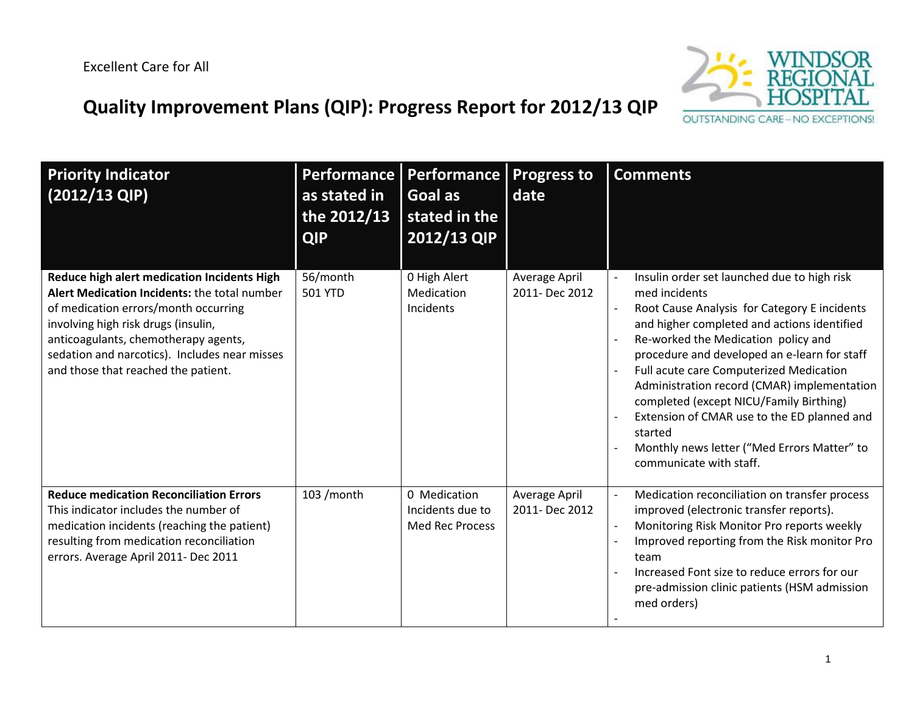## **OUTSTANDING CARE-NO EXCEPT ONS!**

## **Quality Improvement Plans (QIP): Progress Report for 2012/13 QIP**

| <b>Priority Indicator</b><br>$(2012/13$ QIP)                                                                                                                                                                                                                                                               | as stated in<br>the 2012/13<br><b>QIP</b> | Performance   Performance  <br>Goal as<br>stated in the<br>2012/13 QIP | <b>Progress to</b><br>date      | <b>Comments</b>                                                                                                                                                                                                                                                                                                                                                                                                                                                                                                             |
|------------------------------------------------------------------------------------------------------------------------------------------------------------------------------------------------------------------------------------------------------------------------------------------------------------|-------------------------------------------|------------------------------------------------------------------------|---------------------------------|-----------------------------------------------------------------------------------------------------------------------------------------------------------------------------------------------------------------------------------------------------------------------------------------------------------------------------------------------------------------------------------------------------------------------------------------------------------------------------------------------------------------------------|
| Reduce high alert medication Incidents High<br>Alert Medication Incidents: the total number<br>of medication errors/month occurring<br>involving high risk drugs (insulin,<br>anticoagulants, chemotherapy agents,<br>sedation and narcotics). Includes near misses<br>and those that reached the patient. | 56/month<br><b>501 YTD</b>                | 0 High Alert<br>Medication<br>Incidents                                | Average April<br>2011- Dec 2012 | Insulin order set launched due to high risk<br>med incidents<br>Root Cause Analysis for Category E incidents<br>and higher completed and actions identified<br>Re-worked the Medication policy and<br>procedure and developed an e-learn for staff<br>Full acute care Computerized Medication<br>Administration record (CMAR) implementation<br>completed (except NICU/Family Birthing)<br>Extension of CMAR use to the ED planned and<br>started<br>Monthly news letter ("Med Errors Matter" to<br>communicate with staff. |
| <b>Reduce medication Reconciliation Errors</b><br>This indicator includes the number of<br>medication incidents (reaching the patient)<br>resulting from medication reconciliation<br>errors. Average April 2011- Dec 2011                                                                                 | 103 / month                               | 0 Medication<br>Incidents due to<br><b>Med Rec Process</b>             | Average April<br>2011- Dec 2012 | Medication reconciliation on transfer process<br>improved (electronic transfer reports).<br>Monitoring Risk Monitor Pro reports weekly<br>Improved reporting from the Risk monitor Pro<br>team<br>Increased Font size to reduce errors for our<br>pre-admission clinic patients (HSM admission<br>med orders)                                                                                                                                                                                                               |